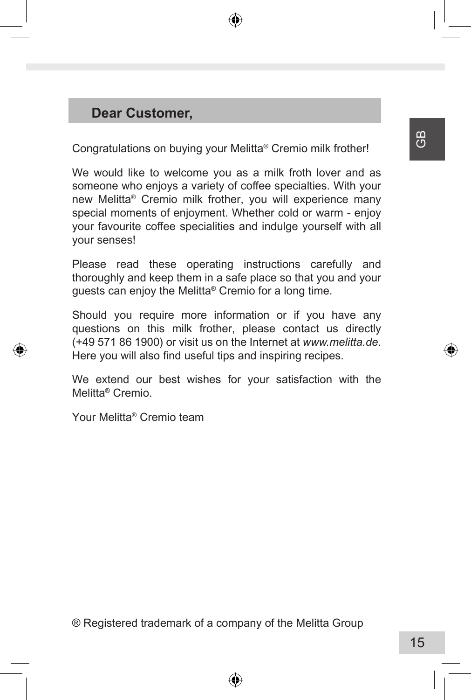# **Dear Customer,**

Congratulations on buying your Melitta® Cremio milk frother!

We would like to welcome you as a milk froth lover and as someone who enjoys a variety of coffee specialties. With your new Melitta® Cremio milk frother, you will experience many special moments of enjoyment. Whether cold or warm - enjoy your favourite coffee specialities and indulge yourself with all your senses!

Please read these operating instructions carefully and thoroughly and keep them in a safe place so that you and your guests can enjoy the Melitta® Cremio for a long time.

Should you require more information or if you have any questions on this milk frother, please contact us directly (+49 571 86 1900) or visit us on the Internet at *www.melitta.de*. Here you will also find useful tips and inspiring recipes.

We extend our best wishes for your satisfaction with the Melitta® Cremio.

Your Melitta® Cremio team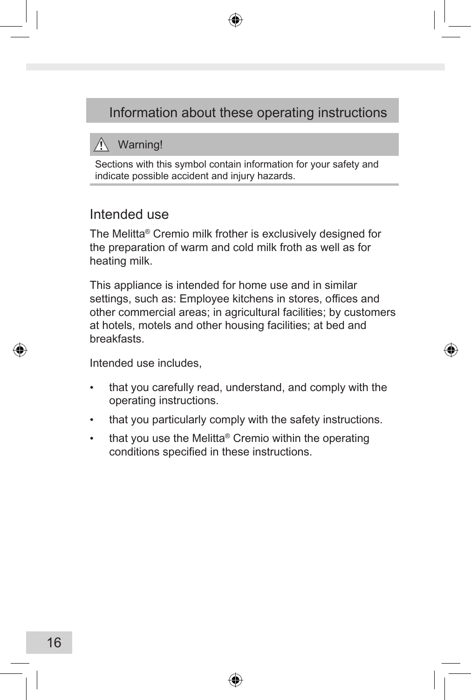# Information about these operating instructions

## $\hat{N}$  Warning!

Sections with this symbol contain information for your safety and indicate possible accident and injury hazards.

### Intended use

The Melitta® Cremio milk frother is exclusively designed for the preparation of warm and cold milk froth as well as for heating milk.

This appliance is intended for home use and in similar settings, such as: Employee kitchens in stores, offices and other commercial areas; in agricultural facilities; by customers at hotels, motels and other housing facilities; at bed and breakfasts.

Intended use includes,

- • that you carefully read, understand, and comply with the operating instructions.
- that you particularly comply with the safety instructions.
- that you use the Melitta® Cremio within the operating conditions specified in these instructions.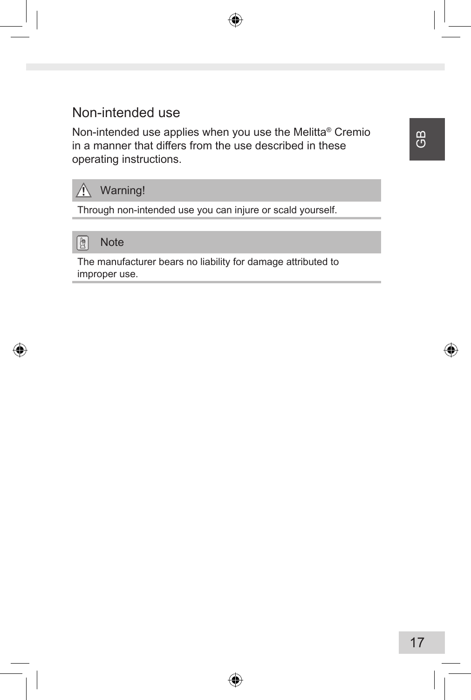# Non-intended use

Non-intended use applies when you use the Melitta® Cremio in a manner that differs from the use described in these operating instructions.



Through non-intended use you can injure or scald yourself.



The manufacturer bears no liability for damage attributed to improper use.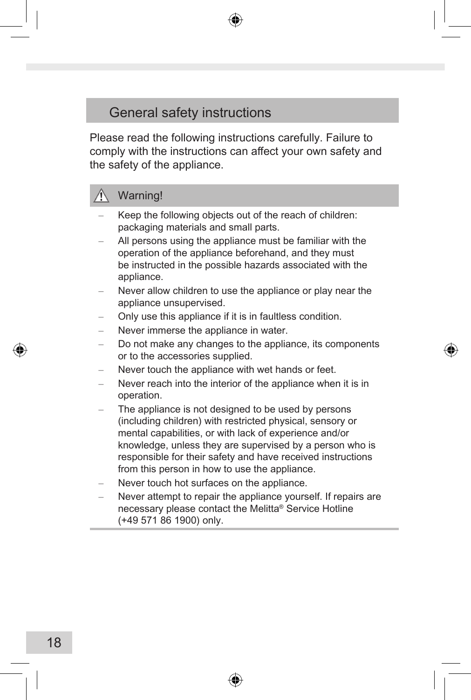# General safety instructions

Please read the following instructions carefully. Failure to comply with the instructions can affect your own safety and the safety of the appliance.

# Warning!

- Keep the following objects out of the reach of children: packaging materials and small parts.
- All persons using the appliance must be familiar with the operation of the appliance beforehand, and they must be instructed in the possible hazards associated with the appliance.
- Never allow children to use the appliance or play near the appliance unsupervised.
- Only use this appliance if it is in faultless condition.
- Never immerse the appliance in water.
- Do not make any changes to the appliance, its components or to the accessories supplied.
- Never touch the appliance with wet hands or feet.
- Never reach into the interior of the appliance when it is in operation.
- The appliance is not designed to be used by persons (including children) with restricted physical, sensory or mental capabilities, or with lack of experience and/or knowledge, unless they are supervised by a person who is responsible for their safety and have received instructions from this person in how to use the appliance.
- Never touch hot surfaces on the appliance.
- Never attempt to repair the appliance yourself. If repairs are necessary please contact the Melitta® Service Hotline (+49 571 86 1900) only.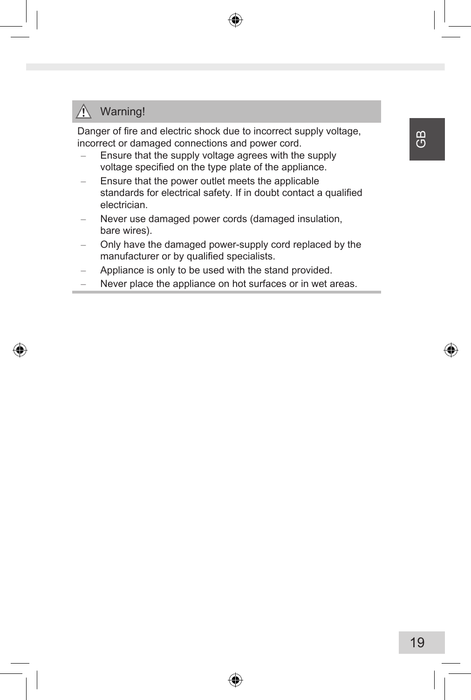#### ΛN Warning!

Danger of fire and electric shock due to incorrect supply voltage, incorrect or damaged connections and power cord.

- Ensure that the supply voltage agrees with the supply voltage specified on the type plate of the appliance.
- Ensure that the power outlet meets the applicable standards for electrical safety. If in doubt contact a qualified electrician.
- Never use damaged power cords (damaged insulation, bare wires).
- Only have the damaged power-supply cord replaced by the manufacturer or by qualified specialists.
- Appliance is only to be used with the stand provided.
- Never place the appliance on hot surfaces or in wet areas.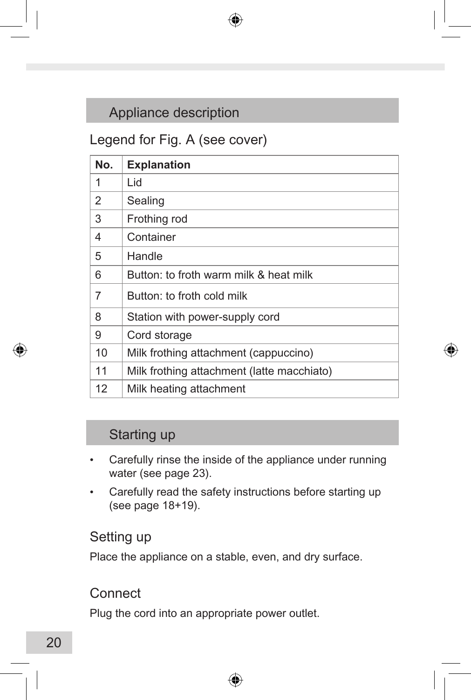# Appliance description

# Legend for Fig. A (see cover)

| No. | <b>Explanation</b>                         |
|-----|--------------------------------------------|
| 1   | Lid                                        |
| 2   | Sealing                                    |
| 3   | Frothing rod                               |
| 4   | Container                                  |
| 5   | Handle                                     |
| 6   | Button: to froth warm milk & heat milk     |
| 7   | Button: to froth cold milk                 |
| 8   | Station with power-supply cord             |
| 9   | Cord storage                               |
| 10  | Milk frothing attachment (cappuccino)      |
| 11  | Milk frothing attachment (latte macchiato) |
| 12  | Milk heating attachment                    |

# Starting up

- Carefully rinse the inside of the appliance under running water (see page 23).
- • Carefully read the safety instructions before starting up (see page 18+19).

## Setting up

Place the appliance on a stable, even, and dry surface.

# **Connect**

Plug the cord into an appropriate power outlet.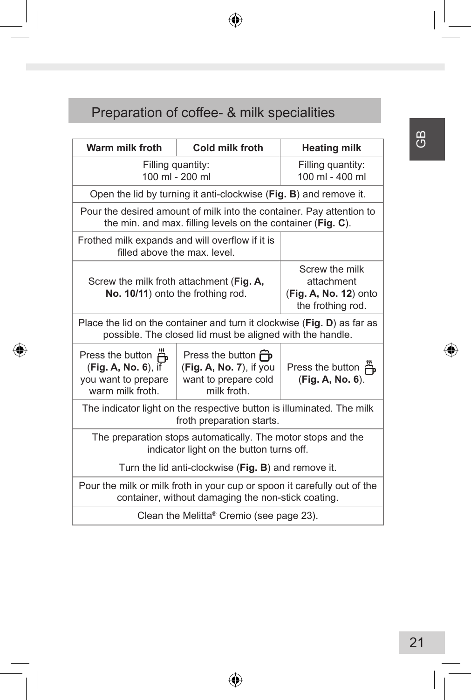# Preparation of coffee- & milk specialities

| Warm milk froth                                                                                                                      | Cold milk froth                                                                             | <b>Heating milk</b>                    |  |  |  |
|--------------------------------------------------------------------------------------------------------------------------------------|---------------------------------------------------------------------------------------------|----------------------------------------|--|--|--|
| Filling quantity:<br>100 ml - 200 ml                                                                                                 | Filling quantity:<br>100 ml - 400 ml                                                        |                                        |  |  |  |
| Open the lid by turning it anti-clockwise (Fig. B) and remove it.                                                                    |                                                                                             |                                        |  |  |  |
| Pour the desired amount of milk into the container. Pay attention to<br>the min. and max. filling levels on the container (Fig. C).  |                                                                                             |                                        |  |  |  |
| Frothed milk expands and will overflow if it is<br>filled above the max level                                                        |                                                                                             |                                        |  |  |  |
| Screw the milk froth attachment (Fig. A,<br>No. 10/11) onto the frothing rod.                                                        | Screw the milk<br>attachment<br>(Fig. A, No. 12) onto<br>the frothing rod.                  |                                        |  |  |  |
| Place the lid on the container and turn it clockwise (Fig. D) as far as<br>possible. The closed lid must be aligned with the handle. |                                                                                             |                                        |  |  |  |
| Press the button A<br>$(Fig. A, No. 6)$ , if<br>you want to prepare<br>warm milk froth.                                              | Press the button <b>P</b><br>(Fig. A, No. 7), if you<br>want to prepare cold<br>milk froth. | Press the button n<br>(Fig. A, No. 6). |  |  |  |
| The indicator light on the respective button is illuminated. The milk<br>froth preparation starts.                                   |                                                                                             |                                        |  |  |  |
| The preparation stops automatically. The motor stops and the<br>indicator light on the button turns off.                             |                                                                                             |                                        |  |  |  |
| Turn the lid anti-clockwise (Fig. B) and remove it.                                                                                  |                                                                                             |                                        |  |  |  |
| Pour the milk or milk froth in your cup or spoon it carefully out of the<br>container, without damaging the non-stick coating.       |                                                                                             |                                        |  |  |  |
| Clean the Melitta <sup>®</sup> Cremio (see page 23).                                                                                 |                                                                                             |                                        |  |  |  |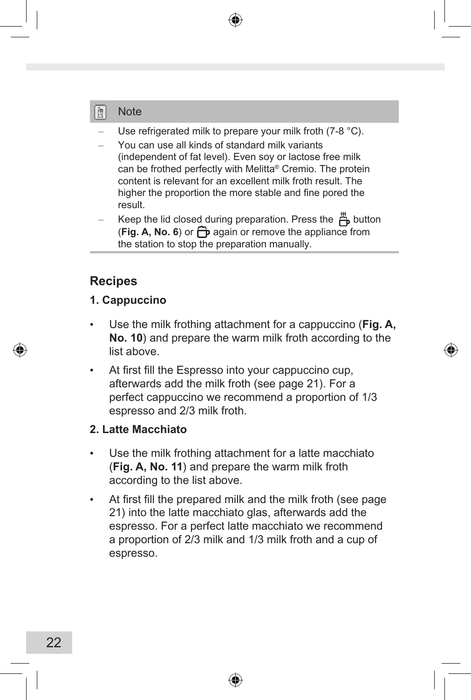#### 圍 **Note**

- Use refrigerated milk to prepare your milk froth (7-8 °C).
- You can use all kinds of standard milk variants (independent of fat level). Even soy or lactose free milk can be frothed perfectly with Melitta® Cremio. The protein content is relevant for an excellent milk froth result. The higher the proportion the more stable and fine pored the result.
- Keep the lid closed during preparation. Press the  $\ddot{B}$  button (Fig. A, No. 6) or  $\bigcap$  again or remove the appliance from the station to stop the preparation manually.

# **Recipes**

### **1. Cappuccino**

- Use the milk frothing attachment for a cappuccino (**Fig. A**, **No. 10**) and prepare the warm milk froth according to the list above.
- At first fill the Espresso into your cappuccino cup, afterwards add the milk froth (see page 21). For a perfect cappuccino we recommend a proportion of 1/3 espresso and 2/3 milk froth.

### **2. Latte Macchiato**

- Use the milk frothing attachment for a latte macchiato (**Fig. A, No. 11**) and prepare the warm milk froth according to the list above.
- At first fill the prepared milk and the milk froth (see page 21) into the latte macchiato glas, afterwards add the espresso. For a perfect latte macchiato we recommend a proportion of 2/3 milk and 1/3 milk froth and a cup of espresso.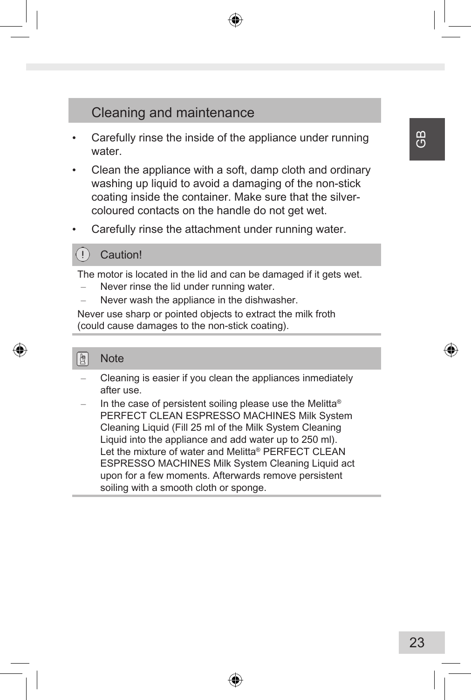# Cleaning and maintenance

- Carefully rinse the inside of the appliance under running water
- Clean the appliance with a soft, damp cloth and ordinary washing up liquid to avoid a damaging of the non-stick coating inside the container. Make sure that the silvercoloured contacts on the handle do not get wet.
- Carefully rinse the attachment under running water.

### **Caution!**

The motor is located in the lid and can be damaged if it gets wet.

- Never rinse the lid under running water.
- Never wash the appliance in the dishwasher.

Never use sharp or pointed objects to extract the milk froth (could cause damages to the non-stick coating).

#### 堕 **Note**

- Cleaning is easier if you clean the appliances inmediately after use.
- In the case of persistent soiling please use the Melitta<sup>®</sup> PERFECT CLEAN ESPRESSO MACHINES Milk System Cleaning Liquid (Fill 25 ml of the Milk System Cleaning Liquid into the appliance and add water up to 250 ml). Let the mixture of water and Melitta® PERFECT CLEAN ESPRESSO MACHINES Milk System Cleaning Liquid act upon for a few moments. Afterwards remove persistent soiling with a smooth cloth or sponge.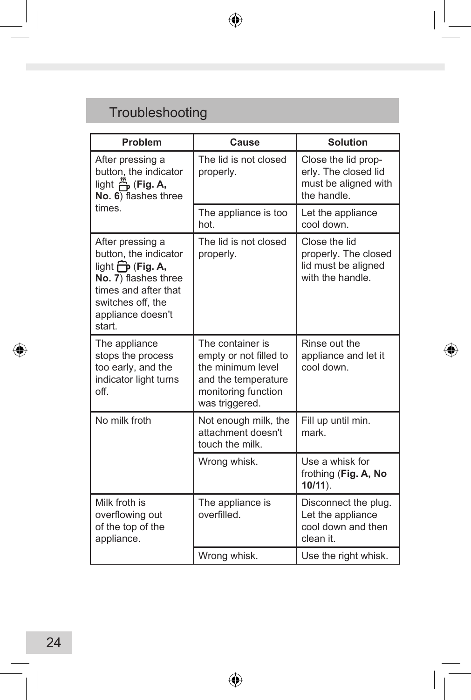# Troubleshooting

| Problem                                                                                                                                                                              | Cause                                                                                                                           | <b>Solution</b>                                                                    |
|--------------------------------------------------------------------------------------------------------------------------------------------------------------------------------------|---------------------------------------------------------------------------------------------------------------------------------|------------------------------------------------------------------------------------|
| After pressing a<br>button, the indicator<br>light H (Fig. A,<br>No. 6) flashes three                                                                                                | The lid is not closed<br>properly.                                                                                              | Close the lid prop-<br>erly. The closed lid<br>must be aligned with<br>the handle. |
| times.                                                                                                                                                                               | The appliance is too<br>hot                                                                                                     | Let the appliance<br>cool down                                                     |
| After pressing a<br>button, the indicator<br>light $\overrightarrow{CD}$ (Fig. A,<br>No. 7) flashes three<br>times and after that<br>switches off, the<br>appliance doesn't<br>start | The lid is not closed<br>properly.                                                                                              | Close the lid<br>properly. The closed<br>lid must be aligned<br>with the handle.   |
| The appliance<br>stops the process<br>too early, and the<br>indicator light turns<br>off                                                                                             | The container is<br>empty or not filled to<br>the minimum level<br>and the temperature<br>monitoring function<br>was triggered. | Rinse out the<br>appliance and let it<br>cool down.                                |
| No milk froth                                                                                                                                                                        | Not enough milk, the<br>attachment doesn't<br>touch the milk.                                                                   | Fill up until min.<br>mark                                                         |
|                                                                                                                                                                                      | Wrong whisk.                                                                                                                    | Use a whisk for<br>frothing (Fig. A, No<br>$10/11$ ).                              |
| Milk froth is<br>overflowing out<br>of the top of the<br>appliance.                                                                                                                  | The appliance is<br>overfilled.                                                                                                 | Disconnect the plug.<br>Let the appliance<br>cool down and then<br>clean it.       |
|                                                                                                                                                                                      | Wrong whisk.                                                                                                                    | Use the right whisk.                                                               |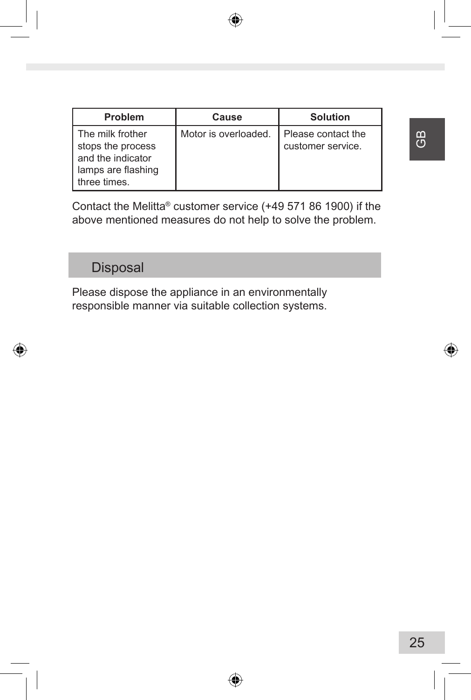| Problem                                                                                          | Cause                | <b>Solution</b>                         |
|--------------------------------------------------------------------------------------------------|----------------------|-----------------------------------------|
| The milk frother<br>stops the process<br>and the indicator<br>lamps are flashing<br>three times. | Motor is overloaded. | Please contact the<br>customer service. |

Contact the Melitta® customer service (+49 571 86 1900) if the above mentioned measures do not help to solve the problem.

# **Disposal**

Please dispose the appliance in an environmentally responsible manner via suitable collection systems.